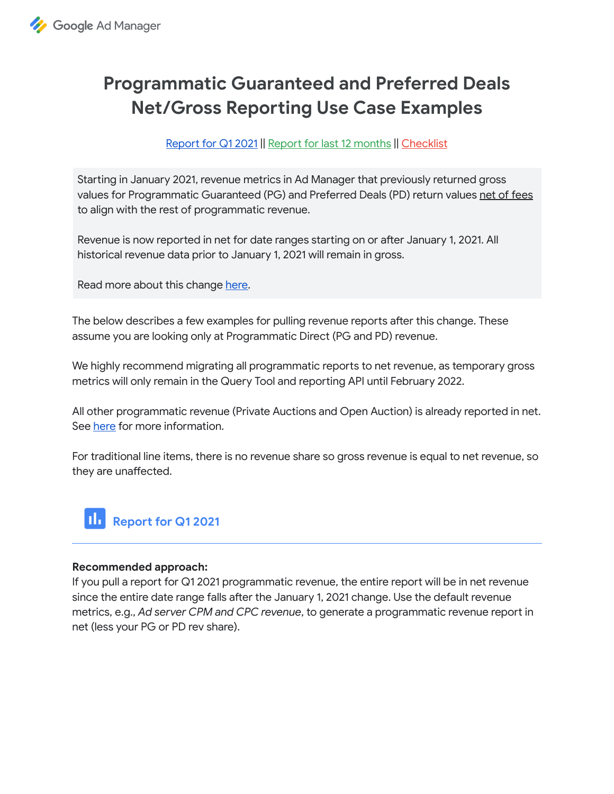

# **Programmatic Guaranteed and Preferred Deals Net/Gross Reporting Use Case Examples**

[Repo](#page-0-0)rt for Q1 2021 || Report for last 12 [months](#page-1-0) || [Checklist](#page-2-0)

Starting in January 2021, revenue metrics in Ad Manager that previously returned gross values for Programmatic Guaranteed (PG) and Preferred Deals (PD) return values net of fees to align with the rest of programmatic revenue.

Revenue is now reported in net for date ranges starting on or after January 1, 2021. All historical revenue data prior to January 1, 2021 will remain in gross.

Read more about this change [here.](https://support.google.com/admanager/answer/9771273)

The below describes a few examples for pulling revenue reports after this change. These assume you are looking only at Programmatic Direct (PG and PD) revenue.

We highly recommend migrating all programmatic reports to net revenue, as temporary gross metrics will only remain in the Query Tool and reporting API until February 2022.

All other programmatic revenue (Private Auctions and Open Auction) is already reported in net. See [here](https://support.google.com/admanager/answer/7639669?hl=en) for more information.

For traditional line items, there is no revenue share so gross revenue is equal to net revenue, so they are unaffected.

<span id="page-0-0"></span>

## **Recommended approach:**

If you pull a report for Q1 2021 programmatic revenue, the entire report will be in net revenue since the entire date range falls after the January 1, 2021 change. Use the default revenue metrics, e.g., Ad server CPM and CPC revenue, to generate a programmatic revenue report in net (less your PG or PD rev share).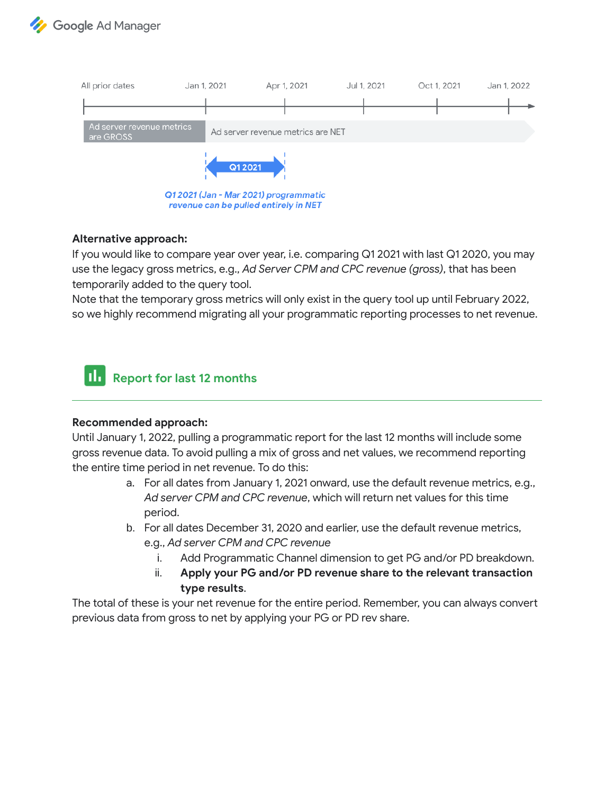



## **Alternative approach:**

If you would like to compare year over year, i.e. comparing Q1 2021 with last Q1 2020, you may use the legacy gross metrics, e.g., *Ad Server CPM and CPC revenue (gross)*, that has been temporarily added to the query tool.

Note that the temporary gross metrics will only exist in the query tool up until February 2022, so we highly recommend migrating all your programmatic reporting processes to net revenue.

<span id="page-1-0"></span>

## **Recommended approach:**

Until January 1, 2022, pulling a programmatic report for the last 12 months will include some gross revenue data. To avoid pulling a mix of gross and net values, we recommend reporting the entire time period in net revenue. To do this:

- a. For all dates from January 1, 2021 onward, use the default revenue metrics, e.g., *Ad server CPM and CPC revenue*, which will return net values for this time period.
- b. For all dates December 31, 2020 and earlier, use the default revenue metrics, e.g., *Ad server CPM and CPC revenue*
	- i. Add Programmatic Channel dimension to get PG and/or PD breakdown.
	- ii. **Apply your PG and/or PD revenue share to the relevant transaction type results**.

The total of these is your net revenue for the entire period. Remember, you can always conve previous data from gross to net by applying your PG or PD rev share.